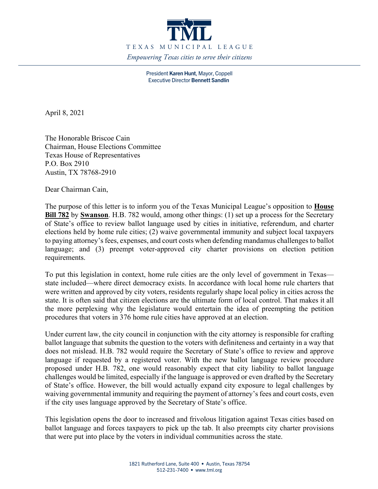

President Karen Hunt, Mayor, Coppell Executive Director Bennett Sandlin

April 8, 2021

The Honorable Briscoe Cain Chairman, House Elections Committee Texas House of Representatives P.O. Box 2910 Austin, TX 78768-2910

Dear Chairman Cain,

The purpose of this letter is to inform you of the Texas Municipal League's opposition to **House Bill 782** by **Swanson**. H.B. 782 would, among other things: (1) set up a process for the Secretary of State's office to review ballot language used by cities in initiative, referendum, and charter elections held by home rule cities; (2) waive governmental immunity and subject local taxpayers to paying attorney's fees, expenses, and court costs when defending mandamus challenges to ballot language; and (3) preempt voter-approved city charter provisions on election petition requirements.

To put this legislation in context, home rule cities are the only level of government in Texas state included—where direct democracy exists. In accordance with local home rule charters that were written and approved by city voters, residents regularly shape local policy in cities across the state. It is often said that citizen elections are the ultimate form of local control. That makes it all the more perplexing why the legislature would entertain the idea of preempting the petition procedures that voters in 376 home rule cities have approved at an election.

Under current law, the city council in conjunction with the city attorney is responsible for crafting ballot language that submits the question to the voters with definiteness and certainty in a way that does not mislead. H.B. 782 would require the Secretary of State's office to review and approve language if requested by a registered voter. With the new ballot language review procedure proposed under H.B. 782, one would reasonably expect that city liability to ballot language challenges would be limited, especially if the language is approved or even drafted by the Secretary of State's office. However, the bill would actually expand city exposure to legal challenges by waiving governmental immunity and requiring the payment of attorney's fees and court costs, even if the city uses language approved by the Secretary of State's office.

This legislation opens the door to increased and frivolous litigation against Texas cities based on ballot language and forces taxpayers to pick up the tab. It also preempts city charter provisions that were put into place by the voters in individual communities across the state.